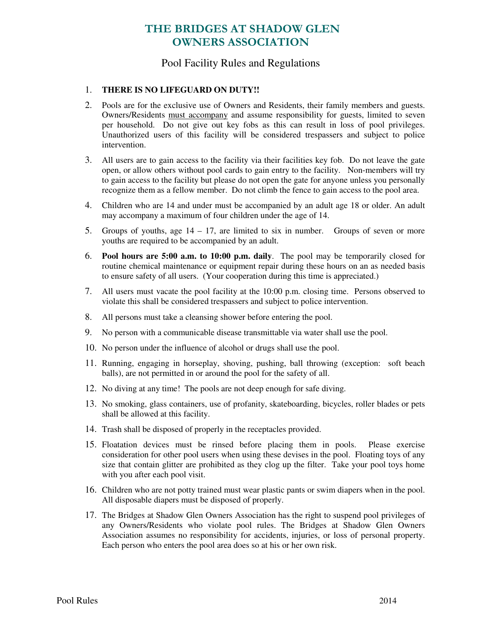# THE BRIDGES AT SHADOW GLEN OWNERS ASSOCIATION

### Pool Facility Rules and Regulations

### 1. **THERE IS NO LIFEGUARD ON DUTY!!**

- 2. Pools are for the exclusive use of Owners and Residents, their family members and guests. Owners/Residents must accompany and assume responsibility for guests, limited to seven per household. Do not give out key fobs as this can result in loss of pool privileges. Unauthorized users of this facility will be considered trespassers and subject to police intervention.
- 3. All users are to gain access to the facility via their facilities key fob. Do not leave the gate open, or allow others without pool cards to gain entry to the facility. Non-members will try to gain access to the facility but please do not open the gate for anyone unless you personally recognize them as a fellow member. Do not climb the fence to gain access to the pool area.
- 4. Children who are 14 and under must be accompanied by an adult age 18 or older. An adult may accompany a maximum of four children under the age of 14.
- 5. Groups of youths, age  $14 17$ , are limited to six in number. Groups of seven or more youths are required to be accompanied by an adult.
- 6. **Pool hours are 5:00 a.m. to 10:00 p.m. daily**. The pool may be temporarily closed for routine chemical maintenance or equipment repair during these hours on an as needed basis to ensure safety of all users. (Your cooperation during this time is appreciated.)
- 7. All users must vacate the pool facility at the 10:00 p.m. closing time. Persons observed to violate this shall be considered trespassers and subject to police intervention.
- 8. All persons must take a cleansing shower before entering the pool.
- 9. No person with a communicable disease transmittable via water shall use the pool.
- 10. No person under the influence of alcohol or drugs shall use the pool.
- 11. Running, engaging in horseplay, shoving, pushing, ball throwing (exception: soft beach balls), are not permitted in or around the pool for the safety of all.
- 12. No diving at any time! The pools are not deep enough for safe diving.
- 13. No smoking, glass containers, use of profanity, skateboarding, bicycles, roller blades or pets shall be allowed at this facility.
- 14. Trash shall be disposed of properly in the receptacles provided.
- 15. Floatation devices must be rinsed before placing them in pools. Please exercise consideration for other pool users when using these devises in the pool. Floating toys of any size that contain glitter are prohibited as they clog up the filter. Take your pool toys home with you after each pool visit.
- 16. Children who are not potty trained must wear plastic pants or swim diapers when in the pool. All disposable diapers must be disposed of properly.
- 17. The Bridges at Shadow Glen Owners Association has the right to suspend pool privileges of any Owners/Residents who violate pool rules. The Bridges at Shadow Glen Owners Association assumes no responsibility for accidents, injuries, or loss of personal property. Each person who enters the pool area does so at his or her own risk.